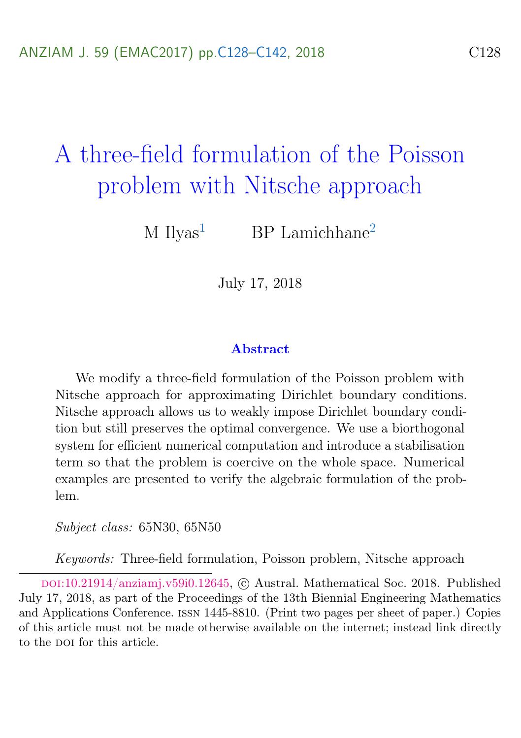# <span id="page-0-0"></span>A three-field formulation of the Poisson problem with Nitsche approach

M  $Ilyas<sup>1</sup>$  $Ilyas<sup>1</sup>$  $Ilyas<sup>1</sup>$  BP Lamichhane<sup>[2](#page-14-0)</sup>

July 17, 2018

#### Abstract

We modify a three-field formulation of the Poisson problem with Nitsche approach for approximating Dirichlet boundary conditions. Nitsche approach allows us to weakly impose Dirichlet boundary condition but still preserves the optimal convergence. We use a biorthogonal system for efficient numerical computation and introduce a stabilisation term so that the problem is coercive on the whole space. Numerical examples are presented to verify the algebraic formulation of the problem.

Subject class: 65N30, 65N50

Keywords: Three-field formulation, Poisson problem, Nitsche approach

doi:[10.21914/anziamj.v59i0.12645,](https://doi.org/10.21914/anziamj.v59i0.12645) c Austral. Mathematical Soc. 2018. Published July 17, 2018, as part of the Proceedings of the 13th Biennial Engineering Mathematics and Applications Conference. issn 1445-8810. (Print two pages per sheet of paper.) Copies of this article must not be made otherwise available on the internet; instead link directly to the DOI for this article.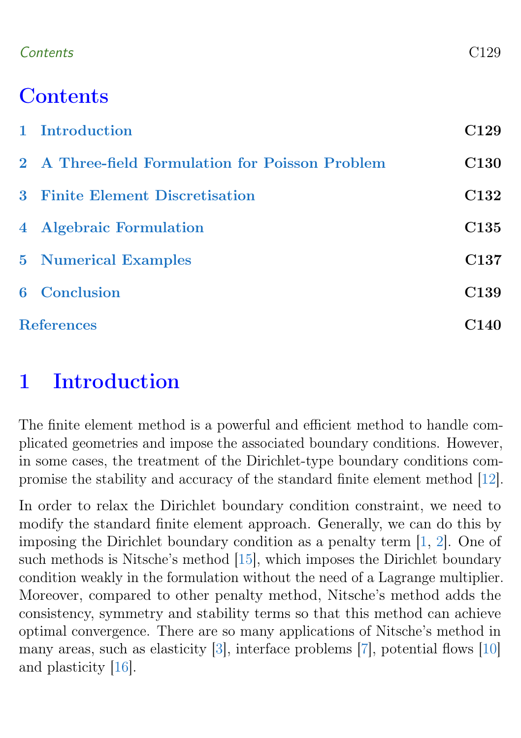#### <span id="page-1-1"></span>Contents C129

## **Contents**

|                   | 1 Introduction                                  | C <sub>129</sub> |
|-------------------|-------------------------------------------------|------------------|
|                   | 2 A Three-field Formulation for Poisson Problem | <b>C130</b>      |
|                   | 3 Finite Element Discretisation                 | C132             |
|                   | 4 Algebraic Formulation                         | C <sub>135</sub> |
|                   | <b>5</b> Numerical Examples                     | C <sub>137</sub> |
|                   | <b>6</b> Conclusion                             | C <sub>139</sub> |
| <b>References</b> |                                                 |                  |

## <span id="page-1-0"></span>1 Introduction

The finite element method is a powerful and efficient method to handle complicated geometries and impose the associated boundary conditions. However, in some cases, the treatment of the Dirichlet-type boundary conditions compromise the stability and accuracy of the standard finite element method [\[12\]](#page-13-0).

In order to relax the Dirichlet boundary condition constraint, we need to modify the standard finite element approach. Generally, we can do this by imposing the Dirichlet boundary condition as a penalty term [\[1,](#page-12-1) [2\]](#page-12-2). One of such methods is Nitsche's method [\[15\]](#page-13-1), which imposes the Dirichlet boundary condition weakly in the formulation without the need of a Lagrange multiplier. Moreover, compared to other penalty method, Nitsche's method adds the consistency, symmetry and stability terms so that this method can achieve optimal convergence. There are so many applications of Nitsche's method in many areas, such as elasticity [\[3\]](#page-12-3), interface problems [\[7\]](#page-12-4), potential flows [\[10\]](#page-13-2) and plasticity [\[16\]](#page-13-3).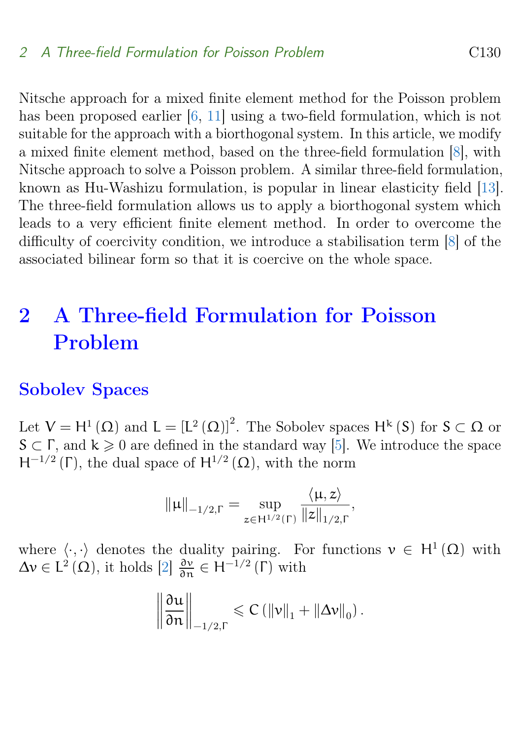<span id="page-2-1"></span>Nitsche approach for a mixed finite element method for the Poisson problem has been proposed earlier [\[6,](#page-12-5) [11\]](#page-13-4) using a two-field formulation, which is not suitable for the approach with a biorthogonal system. In this article, we modify a mixed finite element method, based on the three-field formulation [\[8\]](#page-12-6), with Nitsche approach to solve a Poisson problem. A similar three-field formulation, known as Hu-Washizu formulation, is popular in linear elasticity field [\[13\]](#page-13-5). The three-field formulation allows us to apply a biorthogonal system which leads to a very efficient finite element method. In order to overcome the difficulty of coercivity condition, we introduce a stabilisation term [\[8\]](#page-12-6) of the associated bilinear form so that it is coercive on the whole space.

## <span id="page-2-0"></span>2 A Three-field Formulation for Poisson Problem

#### Sobolev Spaces

Let  $V = H^1(\Omega)$  and  $L = [L^2(\Omega)]^2$ . The Sobolev spaces  $H^k(S)$  for  $S \subset \Omega$  or  $S \subset \Gamma$ , and  $k \geq 0$  are defined in the standard way [\[5\]](#page-12-7). We introduce the space  $H^{-1/2}(\Gamma)$ , the dual space of  $H^{1/2}(\Omega)$ , with the norm

$$
\|\mu\|_{-1/2,\Gamma} = \sup_{z \in H^{1/2}(\Gamma)} \frac{\langle \mu, z \rangle}{\|z\|_{1/2,\Gamma}},
$$

where  $\langle \cdot, \cdot \rangle$  denotes the duality pairing. For functions  $v \in H^1(\Omega)$  with  $\Delta v \in L^2(\Omega)$ , it holds  $[2]$   $\frac{\partial v}{\partial n} \in H^{-1/2}(\Gamma)$  with

$$
\left\|\frac{\partial \mathfrak{u}}{\partial n}\right\|_{-1/2,\Gamma} \leqslant C\left(\left\|\mathfrak{v}\right\|_{1}+\left\|\Delta \mathfrak{v}\right\|_{0}\right).
$$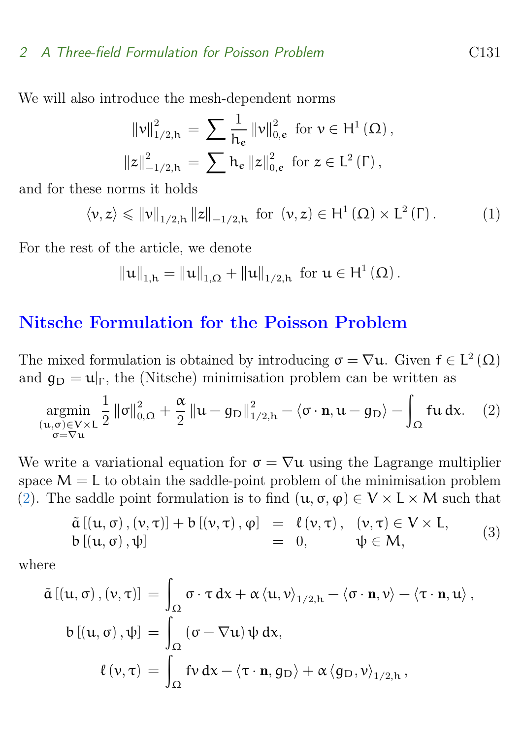#### 2 A Three-field Formulation for Poisson Problem C131

We will also introduce the mesh-dependent norms

$$
\begin{aligned} \left\|v\right\|_{1/2,h}^{2} &= \sum \frac{1}{h_{e}} \left\|v\right\|_{0,e}^{2} \text{ for } v \in H^{1}\left(\Omega\right), \\ \left\|z\right\|_{-1/2,h}^{2} &= \sum h_{e} \left\|z\right\|_{0,e}^{2} \text{ for } z \in L^{2}\left(\Gamma\right), \end{aligned}
$$

and for these norms it holds

<span id="page-3-1"></span>
$$
\langle \nu, z \rangle \leqslant ||\nu||_{1/2, h} ||z||_{-1/2, h} \text{ for } (\nu, z) \in H^1(\Omega) \times L^2(\Gamma). \tag{1}
$$

For the rest of the article, we denote

$$
\|u\|_{1,h} = \|u\|_{1,\Omega} + \|u\|_{1/2,h} \text{ for } u \in H^1(\Omega).
$$

### Nitsche Formulation for the Poisson Problem

The mixed formulation is obtained by introducing  $\sigma = \nabla u$ . Given  $f \in L^2(\Omega)$ and  $q_D = u|_{\Gamma}$ , the (Nitsche) minimisation problem can be written as

<span id="page-3-0"></span>
$$
\mathop{\rm argmin}_{\substack{(\mathbf{u}, \sigma) \in V \times L \\ \sigma = \nabla \mathbf{u}}} \frac{1}{2} \left\| \sigma \right\|_{0,\Omega}^2 + \frac{\alpha}{2} \left\| \mathbf{u} - g_D \right\|_{1/2,h}^2 - \left\langle \sigma \cdot \mathbf{n}, \mathbf{u} - g_D \right\rangle - \int_{\Omega} \mathbf{f} \mathbf{u} \, d\mathbf{x}.
$$
 (2)

We write a variational equation for  $\sigma = \nabla u$  using the Lagrange multiplier space  $M = L$  to obtain the saddle-point problem of the minimisation problem [\(2\)](#page-3-0). The saddle point formulation is to find  $(\mathfrak{u}, \sigma, \varphi) \in V \times L \times M$  such that

<span id="page-3-2"></span>
$$
\begin{array}{rcl}\n\tilde{a} \left[ (u, \sigma), (v, \tau) \right] + b \left[ (v, \tau), \phi \right] & = & \ell \left( v, \tau \right), \\
b \left[ (u, \sigma), \psi \right] & = & 0, \qquad \psi \in M,\n\end{array} \tag{3}
$$

where

$$
\tilde{\alpha} \left[ \left( u, \sigma \right), \left( v, \tau \right) \right] \ = \ \int_{\Omega} \sigma \cdot \tau \, dx + \alpha \left\langle u, v \right\rangle_{1/2, h} - \left\langle \sigma \cdot \mathbf{n}, v \right\rangle - \left\langle \tau \cdot \mathbf{n}, u \right\rangle,
$$
\n
$$
\mathbf{b} \left[ \left( u, \sigma \right), \psi \right] \ = \ \int_{\Omega} \left( \sigma - \nabla u \right) \psi \, dx,
$$
\n
$$
\ell \left( v, \tau \right) \ = \ \int_{\Omega} \mathbf{f} v \, dx - \left\langle \tau \cdot \mathbf{n}, g_{D} \right\rangle + \alpha \left\langle g_{D}, v \right\rangle_{1/2, h},
$$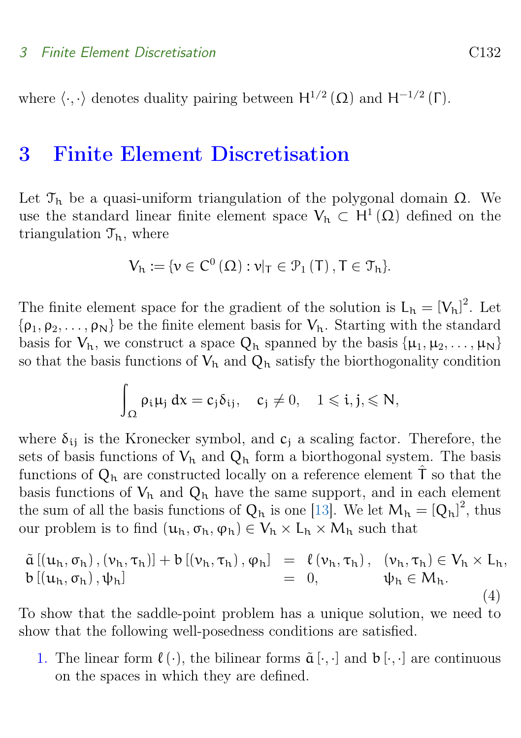<span id="page-4-2"></span>where  $\langle \cdot, \cdot \rangle$  denotes duality pairing between  $H^{1/2}(\Omega)$  and  $H^{-1/2}(\Gamma)$ .

## <span id="page-4-0"></span>3 Finite Element Discretisation

Let  $\mathcal{T}_h$  be a quasi-uniform triangulation of the polygonal domain  $\Omega$ . We use the standard linear finite element space  $V_h \subset H^1(\Omega)$  defined on the triangulation  $\mathcal{T}_{h}$ , where

$$
V_h:=\{\nu\in C^0\left(\Omega\right): \nu|_T\in\mathcal{P}_1\left(T\right), T\in\mathcal{T}_h\}.
$$

The finite element space for the gradient of the solution is  $L_h = [V_h]^2$ . Let  $\{\rho_1, \rho_2, \ldots, \rho_N\}$  be the finite element basis for  $V_h$ . Starting with the standard basis for  $V_h$ , we construct a space  $Q_h$  spanned by the basis  $\{\mu_1, \mu_2, \ldots, \mu_N\}$ so that the basis functions of  $V_h$  and  $Q_h$  satisfy the biorthogonality condition

$$
\int_{\Omega} \rho_i \mu_j \: dx = c_j \delta_{ij}, \quad c_j \neq 0, \quad 1 \leqslant i,j, \leqslant N,
$$

where  $\delta_{ii}$  is the Kronecker symbol, and  $c_i$  a scaling factor. Therefore, the sets of basis functions of  $V_h$  and  $Q_h$  form a biorthogonal system. The basis functions of  $Q_h$  are constructed locally on a reference element  $\hat{T}$  so that the basis functions of  $V_h$  and  $Q_h$  have the same support, and in each element the sum of all the basis functions of  $Q_h$  is one [\[13\]](#page-13-5). We let  $M_h = [Q_h]^2$ , thus our problem is to find  $(u_h, \sigma_h, \varphi_h) \in V_h \times L_h \times M_h$  such that

<span id="page-4-1"></span>
$$
\tilde{a} \left[ (u_h, \sigma_h), (v_h, \tau_h) \right] + b \left[ (v_h, \tau_h), \varphi_h \right] = \ell \left( v_h, \tau_h \right), \quad (v_h, \tau_h) \in V_h \times L_h, \n b \left[ (u_h, \sigma_h), \psi_h \right] = 0, \qquad \psi_h \in M_h. \n \tag{4}
$$

To show that the saddle-point problem has a unique solution, we need to show that the following well-posedness conditions are satisfied.

1. The linear form  $\ell(\cdot)$ , the bilinear forms  $\tilde{a}[\cdot,\cdot]$  and  $b[\cdot,\cdot]$  are continuous on the spaces in which they are defined.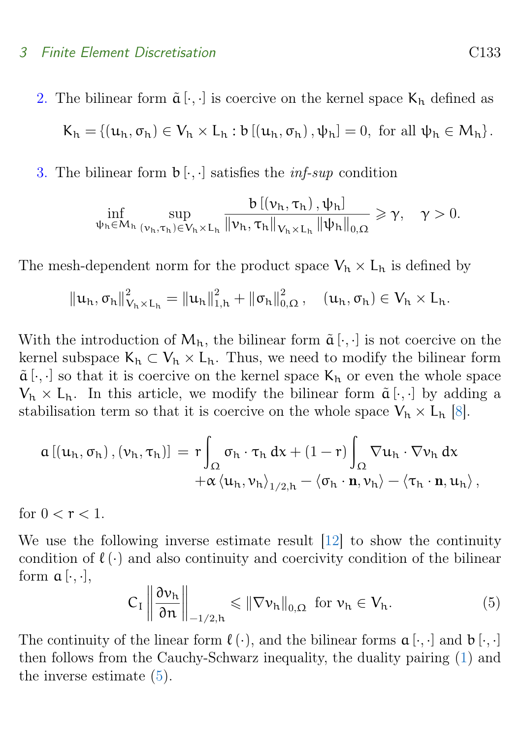#### <span id="page-5-1"></span>3 Finite Element Discretisation C133

2. The bilinear form  $\tilde{a}[\cdot,\cdot]$  is coercive on the kernel space  $K_h$  defined as  $K_h = \{(\mathbf{u}_h, \sigma_h) \in V_h \times L_h : b\left[\left(\mathbf{u}_h, \sigma_h\right), \psi_h\right] = 0, \text{ for all } \psi_h \in M_h\}.$ 

3. The bilinear form  $\mathfrak{b}[\cdot,\cdot]$  satisfies the *inf-sup* condition

$$
\inf_{\psi_{h}\in M_{h}}\sup_{(\nu_{h},\tau_{h})\in V_{h}\times L_{h}}\frac{b\left[\left(\nu_{h},\tau_{h}\right),\psi_{h}\right]}{\left\|\nu_{h},\tau_{h}\right\|_{V_{h}\times L_{h}}\left\|\psi_{h}\right\|_{0,\Omega}}\geqslant\gamma,\quad\gamma>0.
$$

The mesh-dependent norm for the product space  $V_h \times L_h$  is defined by

$$
\|u_h, \sigma_h\|_{V_h \times L_h}^2 = \|u_h\|_{1,h}^2 + \|\sigma_h\|_{0,\Omega}^2, \quad (u_h, \sigma_h) \in V_h \times L_h.
$$

With the introduction of  $M_h$ , the bilinear form  $\tilde{a}[\cdot,\cdot]$  is not coercive on the kernel subspace  $K_h \subset V_h \times L_h$ . Thus, we need to modify the bilinear form  $\tilde{a}[\cdot,\cdot]$  so that it is coercive on the kernel space  $K_h$  or even the whole space  $V_h \times L_h$ . In this article, we modify the bilinear form  $\tilde{a}[\cdot,\cdot]$  by adding a stabilisation term so that it is coercive on the whole space  $V_h \times L_h$  [\[8\]](#page-12-6).

$$
\begin{aligned} \alpha \left[\left(u_h,\sigma_h\right),\left(\nu_h,\tau_h\right)\right] \,=\, r \!\int_\Omega \sigma_h \cdot \tau_h \,dx + (1-r) \int_\Omega \nabla u_h \cdot \nabla \nu_h \,dx \\ + \alpha \left\langle u_h,\nu_h\right\rangle_{1/2,h} - \left\langle \sigma_h \cdot \mathbf{n},\nu_h\right\rangle - \left\langle \tau_h \cdot \mathbf{n},u_h\right\rangle, \end{aligned}
$$

for  $0 < r < 1$ .

We use the following inverse estimate result [\[12\]](#page-13-0) to show the continuity condition of  $\ell(\cdot)$  and also continuity and coercivity condition of the bilinear form  $\alpha$  [ $\cdot$ , $\cdot$ ],

<span id="page-5-0"></span>
$$
C_{I} \left\| \frac{\partial v_{h}}{\partial n} \right\|_{-1/2, h} \leqslant \left\| \nabla v_{h} \right\|_{0, \Omega} \text{ for } v_{h} \in V_{h}.
$$
 (5)

The continuity of the linear form  $\ell(\cdot)$ , and the bilinear forms  $\alpha[\cdot, \cdot]$  and  $\beta[\cdot, \cdot]$ then follows from the Cauchy-Schwarz inequality, the duality pairing [\(1\)](#page-3-1) and the inverse estimate  $(5)$ .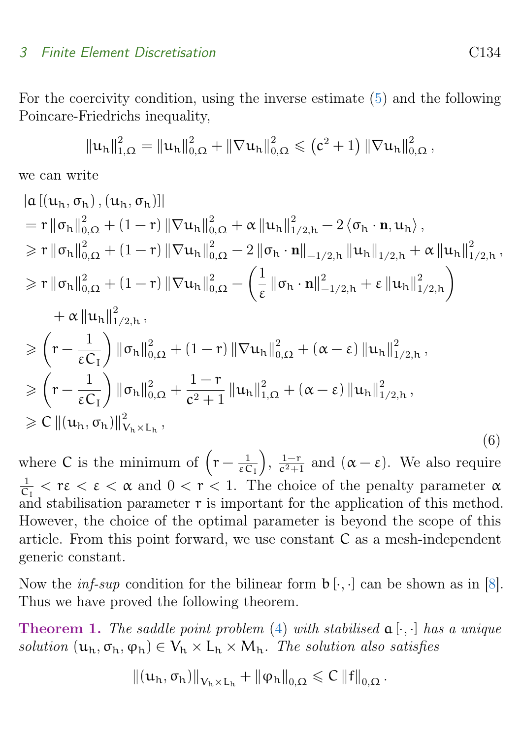#### <span id="page-6-1"></span>3 Finite Element Discretisation C134

For the coercivity condition, using the inverse estimate [\(5\)](#page-5-0) and the following Poincare-Friedrichs inequality,

$$
\|u_h\|_{1,\Omega}^2 = \|u_h\|_{0,\Omega}^2 + \|\nabla u_h\|_{0,\Omega}^2 \leq (c^2+1) \|\nabla u_h\|_{0,\Omega}^2,
$$

we can write

<span id="page-6-0"></span>
$$
|\mathbf{a} [(\mathbf{u}_{h}, \sigma_{h}), (\mathbf{u}_{h}, \sigma_{h})]|
$$
\n
$$
= r ||\sigma_{h}||_{0,\Omega}^{2} + (1-r) ||\nabla \mathbf{u}_{h}||_{0,\Omega}^{2} + \alpha ||\mathbf{u}_{h}||_{1/2,h}^{2} - 2 \langle \sigma_{h} \cdot \mathbf{n}, \mathbf{u}_{h} \rangle,
$$
\n
$$
\geq r ||\sigma_{h}||_{0,\Omega}^{2} + (1-r) ||\nabla \mathbf{u}_{h}||_{0,\Omega}^{2} - 2 ||\sigma_{h} \cdot \mathbf{n}||_{-1/2,h} ||\mathbf{u}_{h}||_{1/2,h}^{2} + \alpha ||\mathbf{u}_{h}||_{1/2,h}^{2},
$$
\n
$$
\geq r ||\sigma_{h}||_{0,\Omega}^{2} + (1-r) ||\nabla \mathbf{u}_{h}||_{0,\Omega}^{2} - \left(\frac{1}{\epsilon} ||\sigma_{h} \cdot \mathbf{n}||_{-1/2,h}^{2} + \epsilon ||\mathbf{u}_{h}||_{1/2,h}^{2}\right)
$$
\n
$$
+ \alpha ||\mathbf{u}_{h}||_{1/2,h}^{2},
$$
\n
$$
\geq (r - \frac{1}{\epsilon C_{I}}) ||\sigma_{h}||_{0,\Omega}^{2} + (1-r) ||\nabla \mathbf{u}_{h}||_{0,\Omega}^{2} + (\alpha - \epsilon) ||\mathbf{u}_{h}||_{1/2,h}^{2},
$$
\n
$$
\geq (r - \frac{1}{\epsilon C_{I}}) ||\sigma_{h}||_{0,\Omega}^{2} + \frac{1-r}{c^{2}+1} ||\mathbf{u}_{h}||_{1,\Omega}^{2} + (\alpha - \epsilon) ||\mathbf{u}_{h}||_{1/2,h}^{2},
$$
\n
$$
\geq C ||(\mathbf{u}_{h}, \sigma_{h})||_{V_{h} \times L_{h}^{2}},
$$
\n(6)

where C is the minimum of  $(r-\frac{1}{50})$ εC<sup>I</sup>  $\Big), \frac{1-r}{c^2+1}$  $\frac{1-r}{c^2+1}$  and  $(\alpha - \varepsilon)$ . We also require 1  $\frac{1}{C_1} < r \epsilon < \alpha$  and  $0 < r < 1$ . The choice of the penalty parameter  $\alpha$ and stabilisation parameter  $r$  is important for the application of this method. However, the choice of the optimal parameter is beyond the scope of this article. From this point forward, we use constant C as a mesh-independent generic constant.

Now the *inf-sup* condition for the bilinear form  $\mathfrak{b}[\cdot,\cdot]$  can be shown as in [\[8\]](#page-12-6). Thus we have proved the following theorem.

**Theorem 1.** The saddle point problem [\(4\)](#page-4-1) with stabilised  $\mathfrak{a}[\cdot,\cdot]$  has a unique solution  $(\mathbf{u}_h, \sigma_h, \varphi_h) \in V_h \times L_h \times M_h$ . The solution also satisfies

$$
\left\|\left(u_h,\sigma_h\right)\right\|_{V_h\times L_h}+\left\|\phi_h\right\|_{0,\Omega}\leqslant C\left\|f\right\|_{0,\Omega}.
$$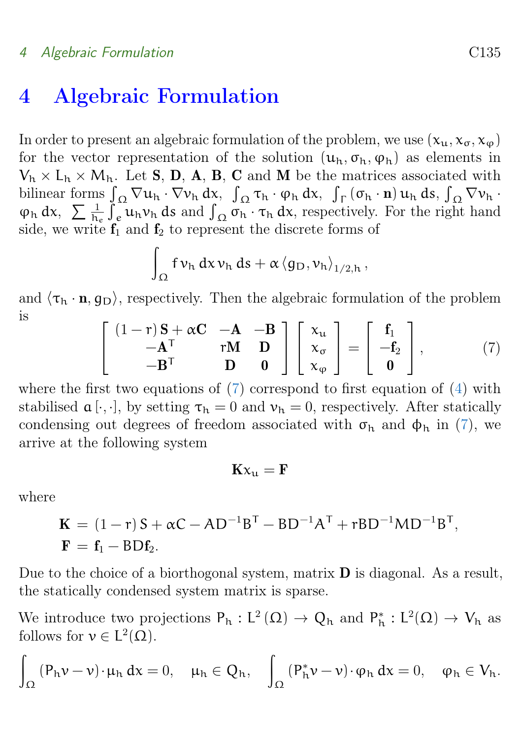#### 4 Algebraic Formulation C135

## <span id="page-7-0"></span>4 Algebraic Formulation

In order to present an algebraic formulation of the problem, we use  $(x_{u}, x_{\sigma}, x_{\omega})$ for the vector representation of the solution  $(u_h, \sigma_h, \varphi_h)$  as elements in  $V_h \times L_h \times M_h$ . Let **S**, **D**, **A**, **B**, **C** and **M** be the matrices associated with bilinear forms  $\int_{\Omega} \nabla u_h \cdot \nabla v_h \, dx$ ,  $\int_{\Omega} \tau_h \cdot \varphi_h \, dx$ ,  $\int_{\Gamma} (\sigma_h \cdot \mathbf{n}) u_h \, ds$ ,  $\int_{\Omega} \nabla v_h \cdot$  $\varphi_h$  dx,  $\sum \frac{1}{h_e} \int_e^{\infty} u_h v_h$  ds and  $\int_{\Omega} \sigma_h \cdot \tau_h$  dx, respectively. For the right hand side, we write  $f_1$  and  $f_2$  to represent the discrete forms of

$$
\int_{\Omega} f \nu_h \, dx \nu_h \, ds + \alpha \left\langle g_D, \nu_h \right\rangle_{1/2,h},
$$

and  $\langle \tau_h \cdot n, q_D \rangle$ , respectively. Then the algebraic formulation of the problem is

<span id="page-7-1"></span>
$$
\begin{bmatrix} (1-r)\mathbf{S} + \alpha \mathbf{C} & -\mathbf{A} & -\mathbf{B} \\ -\mathbf{A}^{\mathsf{T}} & r\mathbf{M} & \mathbf{D} \\ -\mathbf{B}^{\mathsf{T}} & \mathbf{D} & \mathbf{0} \end{bmatrix} \begin{bmatrix} x_{\mathsf{u}} \\ x_{\sigma} \\ x_{\varphi} \end{bmatrix} = \begin{bmatrix} f_{1} \\ -f_{2} \\ \mathbf{0} \end{bmatrix}, \tag{7}
$$

where the first two equations of  $(7)$  correspond to first equation of  $(4)$  with stabilised  $\mathfrak{a}[\cdot,\cdot]$ , by setting  $\tau_{h} = 0$  and  $\nu_{h} = 0$ , respectively. After statically condensing out degrees of freedom associated with  $\sigma_{h}$  and  $\phi_{h}$  in [\(7\)](#page-7-1), we arrive at the following system

$$
\mathbf{K} \mathbf{x}_{\mathbf{u}} = \mathbf{F}
$$

where

$$
\mathbf{K} = (1 - r) \mathbf{S} + \alpha \mathbf{C} - \mathbf{A} \mathbf{D}^{-1} \mathbf{B}^{\mathsf{T}} - \mathbf{B} \mathbf{D}^{-1} \mathbf{A}^{\mathsf{T}} + r \mathbf{B} \mathbf{D}^{-1} \mathbf{M} \mathbf{D}^{-1} \mathbf{B}^{\mathsf{T}},
$$
  

$$
\mathbf{F} = \mathbf{f}_1 - \mathbf{B} \mathbf{D} \mathbf{f}_2.
$$

Due to the choice of a biorthogonal system, matrix  $\bf{D}$  is diagonal. As a result, the statically condensed system matrix is sparse.

We introduce two projections  $P_h: L^2(\Omega) \to Q_h$  and  $P_h^*: L^2(\Omega) \to V_h$  as follows for  $v \in L^2(\Omega)$ .

$$
\int_{\Omega}\left(P_h\nu-\nu\right)\cdot\mu_h\,dx=0,\quad \mu_h\in Q_h,\quad \int_{\Omega}\left(P_h^*\nu-\nu\right)\cdot\phi_h\,dx=0,\quad \phi_h\in V_h.
$$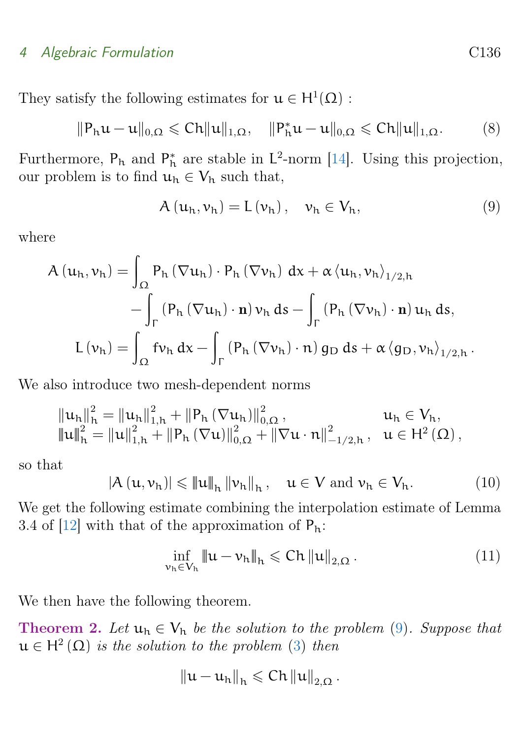#### <span id="page-8-3"></span>4 Algebraic Formulation C136

They satisfy the following estimates for  $\mathfrak{u} \in H^1(\Omega)$ :

$$
\|P_h u - u\|_{0,\Omega} \leqslant Ch \|u\|_{1,\Omega}, \quad \|P_h^* u - u\|_{0,\Omega} \leqslant Ch \|u\|_{1,\Omega}.
$$
 (8)

Furthermore,  $P_h$  and  $P_h^*$  are stable in  $L^2$ -norm [\[14\]](#page-13-6). Using this projection, our problem is to find  $u_h \in V_h$  such that,

<span id="page-8-0"></span>
$$
A(u_h, v_h) = L(v_h), \quad v_h \in V_h,
$$
\n(9)

where

$$
A(u_h, v_h) = \int_{\Omega} P_h (\nabla u_h) \cdot P_h (\nabla v_h) dx + \alpha \langle u_h, v_h \rangle_{1/2, h} - \int_{\Gamma} (P_h (\nabla u_h) \cdot \mathbf{n}) v_h ds - \int_{\Gamma} (P_h (\nabla v_h) \cdot \mathbf{n}) u_h ds, L(v_h) = \int_{\Omega} f v_h dx - \int_{\Gamma} (P_h (\nabla v_h) \cdot \mathbf{n}) g_D ds + \alpha \langle g_D, v_h \rangle_{1/2, h} .
$$

We also introduce two mesh-dependent norms

$$
\begin{array}{llll} \left\|u_{h}\right\|_{h}^{2}=\left\|u_{h}\right\|_{1,h}^{2}+\left\|P_{h}\left(\nabla u_{h}\right)\right\|_{0,\Omega}^{2}, & u_{h} \in V_{h}, \\ \left\|u\right\|_{h}^{2}=\left\|u\right\|_{1,h}^{2}+\left\|P_{h}\left(\nabla u\right)\right\|_{0,\Omega}^{2}+\left\|\nabla u \cdot n\right\|_{-1/2,h}^{2}, & u \in H^{2}\left(\Omega\right), \end{array}
$$

so that

<span id="page-8-1"></span>
$$
\left|A\left(\mathbf{u},\nu_{h}\right)\right| \leqslant \left\|\mathbf{u}\right\|_{h}\left\|\nu_{h}\right\|_{h}, \quad \mathbf{u} \in V \text{ and } \nu_{h} \in V_{h}.\tag{10}
$$

We get the following estimate combining the interpolation estimate of Lemma 3.4 of  $[12]$  with that of the approximation of  $P_h$ :

<span id="page-8-2"></span>
$$
\inf_{\nu_h \in V_h} \|u - \nu_h\|_h \leqslant Ch \|u\|_{2,\Omega}.
$$
\n(11)

We then have the following theorem.

**Theorem 2.** Let  $u_h \in V_h$  be the solution to the problem [\(9\)](#page-8-0). Suppose that  $u \in H^2(\Omega)$  is the solution to the problem [\(3\)](#page-3-2) then

$$
\left\|u-u_{h}\right\|_{h}\leqslant C h\left\|u\right\|_{2,\Omega}.
$$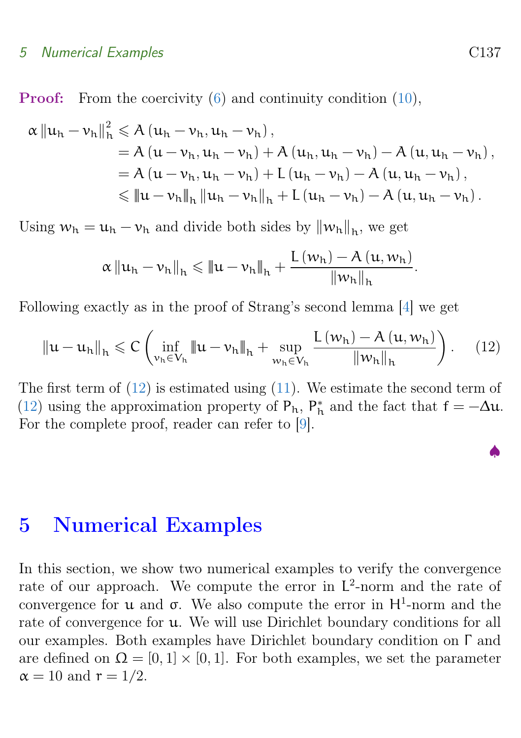#### <span id="page-9-2"></span>5 Numerical Examples C137

Proof: From the coercivity [\(6\)](#page-6-0) and continuity condition [\(10\)](#page-8-1),

$$
\alpha \|u_{h} - v_{h}\|_{h}^{2} \leq A (u_{h} - v_{h}, u_{h} - v_{h}),
$$
  
=  $A (u - v_{h}, u_{h} - v_{h}) + A (u_{h}, u_{h} - v_{h}) - A (u, u_{h} - v_{h}),$   
=  $A (u - v_{h}, u_{h} - v_{h}) + L (u_{h} - v_{h}) - A (u, u_{h} - v_{h}),$   
 $\leq \|u - v_{h}\|_{h} \|u_{h} - v_{h}\|_{h} + L (u_{h} - v_{h}) - A (u, u_{h} - v_{h}).$ 

Using  $w_h = u_h - v_h$  and divide both sides by  $||w_h||_h$ , we get

$$
\alpha\left\|u_{h}-\nu_{h}\right\|_{h} \leqslant\left\|u-\nu_{h}\right\|_{h}+\frac{L\left(w_{h}\right)-A\left(u,\boldsymbol{w}_{h}\right)}{\left\|\boldsymbol{w}_{h}\right\|_{h}}.
$$

Following exactly as in the proof of Strang's second lemma [\[4\]](#page-12-8) we get

<span id="page-9-1"></span>
$$
\|u - u_{h}\|_{h} \leq C \left( \inf_{\nu_{h} \in V_{h}} \|u - \nu_{h}\|_{h} + \sup_{w_{h} \in V_{h}} \frac{L(w_{h}) - A(u, w_{h})}{\|w_{h}\|_{h}} \right). \tag{12}
$$

The first term of  $(12)$  is estimated using  $(11)$ . We estimate the second term of [\(12\)](#page-9-1) using the approximation property of  $P_h$ ,  $P_h^*$  and the fact that  $f = -\Delta u$ . For the complete proof, reader can refer to [\[9\]](#page-13-7).

### <span id="page-9-0"></span>5 Numerical Examples

In this section, we show two numerical examples to verify the convergence rate of our approach. We compute the error in L 2 -norm and the rate of convergence for **u** and **σ**. We also compute the error in  $H^1$ -norm and the rate of convergence for u. We will use Dirichlet boundary conditions for all our examples. Both examples have Dirichlet boundary condition on Γ and are defined on  $\Omega = [0, 1] \times [0, 1]$ . For both examples, we set the parameter  $\alpha = 10$  and  $r = 1/2$ .

♠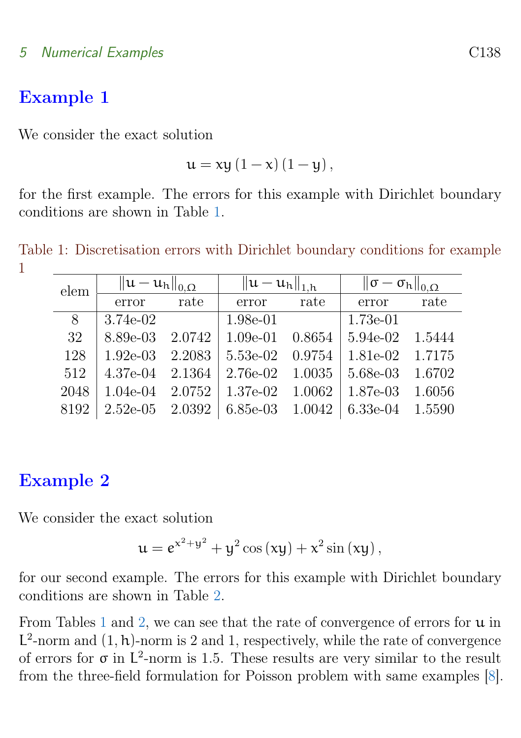#### <span id="page-10-1"></span>5 Numerical Examples C138

### Example 1

We consider the exact solution

$$
u = xy (1 - x) (1 - y),
$$

for the first example. The errors for this example with Dirichlet boundary conditions are shown in Table [1.](#page-10-0)

Table 1: Discretisation errors with Dirichlet boundary conditions for example 1

<span id="page-10-0"></span>

| elem | $\ u-u_h\ _{0,\Omega}$ |        | $  u - u_h  _{1,h}$ |        | $\ \sigma-\sigma_{\rm h}\ _{0,\Omega}$ |        |
|------|------------------------|--------|---------------------|--------|----------------------------------------|--------|
|      | error                  | rate   | error               | rate   | error                                  | rate   |
| 8    | 3.74e-02               |        | 1.98e-01            |        | $1.73e-01$                             |        |
| 32   | 8.89e-03               | 2.0742 | $1.09e-01$          | 0.8654 | 5.94e-02                               | 1.5444 |
| 128  | $1.92e-03$             | 2.2083 | 5.53e-02            | 0.9754 | 1.81e-02                               | 1.7175 |
| 512  | 4.37e-04               | 2.1364 | 2.76e-02            | 1.0035 | 5.68e-03                               | 1.6702 |
| 2048 | $1.04e-04$             | 2.0752 | 1.37e-02            | 1.0062 | 1.87e-03                               | 1.6056 |
| 8192 | $2.52e-05$             | 2.0392 | $6.85e-03$          | 1.0042 | $6.33e-04$                             | 1.5590 |

### Example 2

We consider the exact solution

$$
u = e^{x^2 + y^2} + y^2 \cos(xy) + x^2 \sin(xy),
$$

for our second example. The errors for this example with Dirichlet boundary conditions are shown in Table [2.](#page-11-1)

From Tables [1](#page-10-0) and [2,](#page-11-1) we can see that the rate of convergence of errors for  $\mu$  in  $L^2$ -norm and  $(1, h)$ -norm is 2 and 1, respectively, while the rate of convergence of errors for  $\sigma$  in  $L^2$ -norm is 1.5. These results are very similar to the result from the three-field formulation for Poisson problem with same examples [\[8\]](#page-12-6).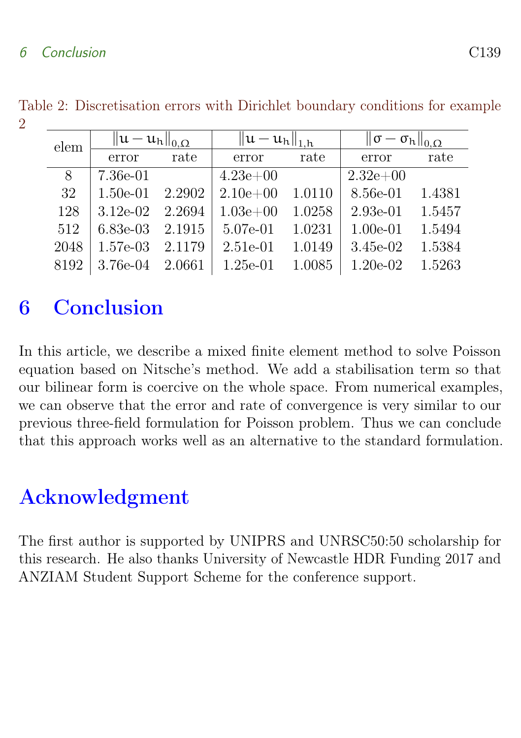#### 6 Conclusion C139

<span id="page-11-1"></span>

|  | elem | $\ u-u_h\ _{0,\Omega}$ |        | $  u - u_h  _{1,h}$ |        | $\ \sigma-\sigma_{\rm h}\ _{0,\Omega}$ |        |  |
|--|------|------------------------|--------|---------------------|--------|----------------------------------------|--------|--|
|  |      | error                  | rate   | error               | rate   | error                                  | rate   |  |
|  | 8    | 7.36e-01               |        | $4.23e+00$          |        | $2.32e+0.0$                            |        |  |
|  | 32   | $1.50e-01$             | 2.2902 | $2.10e + 00$        | 1.0110 | 8.56e-01                               | 1.4381 |  |
|  | 128  | $3.12e-02$             | 2.2694 | $1.03e + 00$        | 1.0258 | $2.93e-01$                             | 1.5457 |  |
|  | 512  | $6.83e-03$             | 2.1915 | 5.07e-01            | 1.0231 | $1.00e-01$                             | 1.5494 |  |
|  | 2048 | $1.57e-03$             | 2.1179 | $2.51e-01$          | 1.0149 | $3.45e-02$                             | 1.5384 |  |
|  | 8192 | 3.76e-04               | 2.0661 | $1.25e-01$          | 1.0085 | $1.20e-02$                             | 1.5263 |  |

Table 2: Discretisation errors with Dirichlet boundary conditions for example  $\mathcal{D}$ 

## <span id="page-11-0"></span>6 Conclusion

In this article, we describe a mixed finite element method to solve Poisson equation based on Nitsche's method. We add a stabilisation term so that our bilinear form is coercive on the whole space. From numerical examples, we can observe that the error and rate of convergence is very similar to our previous three-field formulation for Poisson problem. Thus we can conclude that this approach works well as an alternative to the standard formulation.

## Acknowledgment

The first author is supported by UNIPRS and UNRSC50:50 scholarship for this research. He also thanks University of Newcastle HDR Funding 2017 and ANZIAM Student Support Scheme for the conference support.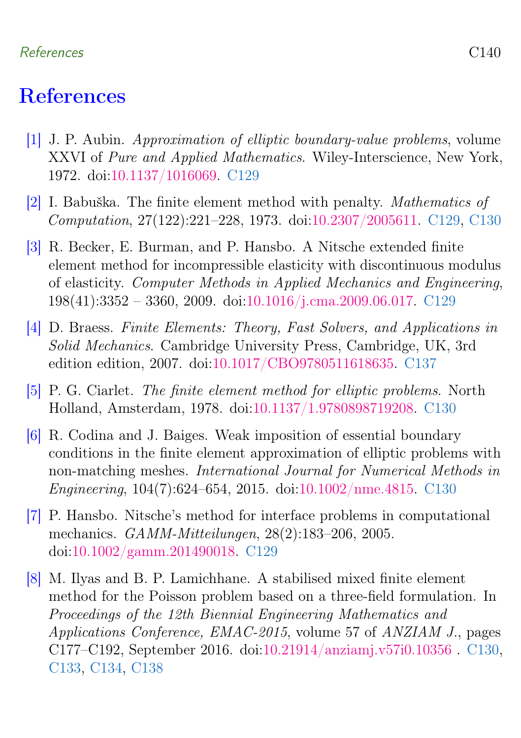#### References C140

## <span id="page-12-0"></span>**References**

- <span id="page-12-1"></span>[1] J. P. Aubin. Approximation of elliptic boundary-value problems, volume XXVI of Pure and Applied Mathematics. Wiley-Interscience, New York, 1972. doi[:10.1137/1016069.](https://doi.org/10.1137/1016069) [C129](#page-1-1)
- <span id="page-12-2"></span>[2] I. Babuška. The finite element method with penalty. Mathematics of Computation, 27(122):221–228, 1973. doi[:10.2307/2005611.](https://doi.org/10.2307/2005611) [C129,](#page-1-1) [C130](#page-2-1)
- <span id="page-12-3"></span>[3] R. Becker, E. Burman, and P. Hansbo. A Nitsche extended finite element method for incompressible elasticity with discontinuous modulus of elasticity. Computer Methods in Applied Mechanics and Engineering, 198(41):3352 – 3360, 2009. doi[:10.1016/j.cma.2009.06.017.](https://doi.org/10.1016/j.cma.2009.06.017) [C129](#page-1-1)
- <span id="page-12-8"></span>[4] D. Braess. Finite Elements: Theory, Fast Solvers, and Applications in Solid Mechanics. Cambridge University Press, Cambridge, UK, 3rd edition edition, 2007. doi[:10.1017/CBO9780511618635.](https://doi.org/10.1017/CBO9780511618635) [C137](#page-9-2)
- <span id="page-12-7"></span>[5] P. G. Ciarlet. The finite element method for elliptic problems. North Holland, Amsterdam, 1978. doi[:10.1137/1.9780898719208.](https://doi.org/10.1137/1.9780898719208) [C130](#page-2-1)
- <span id="page-12-5"></span>[6] R. Codina and J. Baiges. Weak imposition of essential boundary conditions in the finite element approximation of elliptic problems with non-matching meshes. International Journal for Numerical Methods in Engineering, 104(7):624–654, 2015. doi[:10.1002/nme.4815.](https://doi.org/10.1002/nme.4815) [C130](#page-2-1)
- <span id="page-12-4"></span>[7] P. Hansbo. Nitsche's method for interface problems in computational mechanics. GAMM-Mitteilungen, 28(2):183–206, 2005. doi[:10.1002/gamm.201490018.](https://doi.org/10.1002/gamm.201490018) [C129](#page-1-1)
- <span id="page-12-6"></span>[8] M. Ilyas and B. P. Lamichhane. A stabilised mixed finite element method for the Poisson problem based on a three-field formulation. In Proceedings of the 12th Biennial Engineering Mathematics and Applications Conference, EMAC-2015, volume 57 of ANZIAM J., pages C177–C192, September 2016. doi[:10.21914/anziamj.v57i0.10356](https://doi.org/10.21914/anziamj.v57i0.10356 ) . [C130,](#page-2-1) [C133,](#page-5-1) [C134,](#page-6-1) [C138](#page-10-1)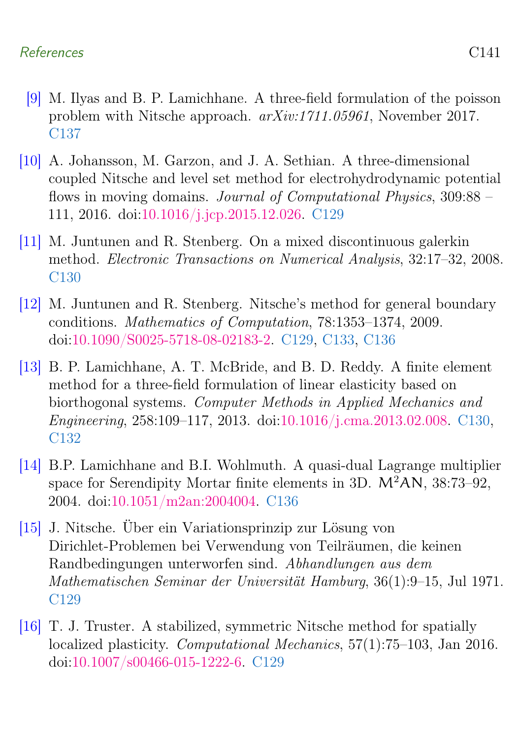#### References C141

- <span id="page-13-7"></span>[9] M. Ilyas and B. P. Lamichhane. A three-field formulation of the poisson problem with Nitsche approach. arXiv:1711.05961, November 2017. [C137](#page-9-2)
- <span id="page-13-2"></span>[10] A. Johansson, M. Garzon, and J. A. Sethian. A three-dimensional coupled Nitsche and level set method for electrohydrodynamic potential flows in moving domains. Journal of Computational Physics, 309:88 – 111, 2016. doi[:10.1016/j.jcp.2015.12.026.](https://doi.org/10.1016/j.jcp.2015.12.026) [C129](#page-1-1)
- <span id="page-13-4"></span>[11] M. Juntunen and R. Stenberg. On a mixed discontinuous galerkin method. Electronic Transactions on Numerical Analysis, 32:17–32, 2008. [C130](#page-2-1)
- <span id="page-13-0"></span>[12] M. Juntunen and R. Stenberg. Nitsche's method for general boundary conditions. Mathematics of Computation, 78:1353–1374, 2009. doi[:10.1090/S0025-5718-08-02183-2.](https://doi.org/10.1090/S0025-5718-08-02183-2) [C129,](#page-1-1) [C133,](#page-5-1) [C136](#page-8-3)
- <span id="page-13-5"></span>[13] B. P. Lamichhane, A. T. McBride, and B. D. Reddy. A finite element method for a three-field formulation of linear elasticity based on biorthogonal systems. Computer Methods in Applied Mechanics and Engineering, 258:109–117, 2013. doi[:10.1016/j.cma.2013.02.008.](https://doi.org/10.1016/j.cma.2013.02.008) [C130,](#page-2-1) [C132](#page-4-2)
- <span id="page-13-6"></span>[14] B.P. Lamichhane and B.I. Wohlmuth. A quasi-dual Lagrange multiplier space for Serendipity Mortar finite elements in 3D.  $M^2AN$ , 38:73–92, 2004. doi[:10.1051/m2an:2004004.](https://doi.org/10.1051/m2an:2004004) [C136](#page-8-3)
- <span id="page-13-1"></span>[15] J. Nitsche. Über ein Variationsprinzip zur Lösung von Dirichlet-Problemen bei Verwendung von Teilräumen, die keinen Randbedingungen unterworfen sind. Abhandlungen aus dem Mathematischen Seminar der Universität Hamburg, 36(1):9–15, Jul 1971. [C129](#page-1-1)
- <span id="page-13-3"></span>[16] T. J. Truster. A stabilized, symmetric Nitsche method for spatially localized plasticity. Computational Mechanics, 57(1):75–103, Jan 2016. doi[:10.1007/s00466-015-1222-6.](https://doi.org/10.1007/s00466-015-1222-6) [C129](#page-1-1)